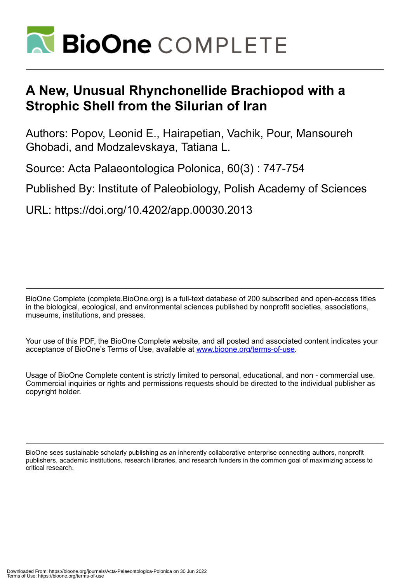

# **A New, Unusual Rhynchonellide Brachiopod with a Strophic Shell from the Silurian of Iran**

Authors: Popov, Leonid E., Hairapetian, Vachik, Pour, Mansoureh Ghobadi, and Modzalevskaya, Tatiana L.

Source: Acta Palaeontologica Polonica, 60(3) : 747-754

Published By: Institute of Paleobiology, Polish Academy of Sciences

URL: https://doi.org/10.4202/app.00030.2013

BioOne Complete (complete.BioOne.org) is a full-text database of 200 subscribed and open-access titles in the biological, ecological, and environmental sciences published by nonprofit societies, associations, museums, institutions, and presses.

Your use of this PDF, the BioOne Complete website, and all posted and associated content indicates your acceptance of BioOne's Terms of Use, available at www.bioone.org/terms-of-use.

Usage of BioOne Complete content is strictly limited to personal, educational, and non - commercial use. Commercial inquiries or rights and permissions requests should be directed to the individual publisher as copyright holder.

BioOne sees sustainable scholarly publishing as an inherently collaborative enterprise connecting authors, nonprofit publishers, academic institutions, research libraries, and research funders in the common goal of maximizing access to critical research.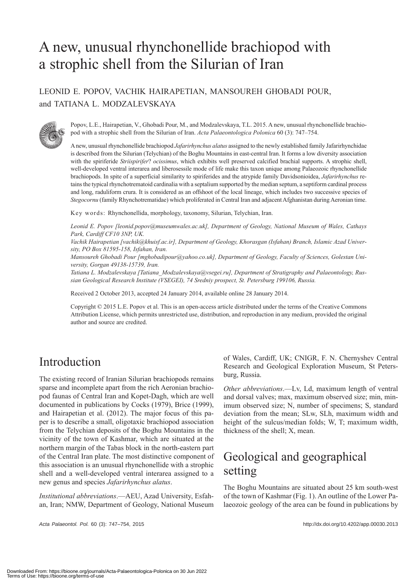# A new, unusual rhynchonellide brachiopod with a strophic shell from the Silurian of Iran

### LEONID E. POPOV, VACHIK HAIRAPETIAN, MANSOUREH GHOBADI POUR, and TATIANA L. MODZALEVSKAYA



Popov, L.E., Hairapetian, V., Ghobadi Pour, M., and Modzalevskaya, T.L. 2015. A new, unusual rhynchonellide brachiopod with a strophic shell from the Silurian of Iran. *Acta Palaeontologica Polonica* 60 (3): 747–754.

A new, unusual rhynchonellide brachiopod *Jafarirhynchus alatus* assigned to the newly established family Jafarirhynchidae is described from the Silurian (Telychian) of the Boghu Mountains in east-central Iran. It forms a low diversity association with the spiriferide *Striispirifer*? *ocissimus*, which exhibits well preserved calcified brachial supports. A strophic shell, well-developed ventral interarea and liberosessile mode of life make this taxon unique among Palaeozoic rhynchonellide brachiopods. In spite of a superficial similarity to spiriferides and the atrypide family Davidsonioidea, *Jafarirhynchus* retains the typical rhynchotrematoid cardinalia with a septalium supported by the median septum, a septiform cardinal process and long, raduliform crura. It is considered as an offshoot of the local lineage, which includes two successive species of *Stegocornu* (family Rhynchotrematidae) which proliferated in Central Iran and adjacent Afghanistan during Aeronian time.

Key words: Rhynchonellida, morphology, taxonomy, Silurian, Telychian, Iran.

*Leonid E. Popov [leonid.popov@museumwales.ac.uk], Department of Geology, National Museum of Wales, Cathays Park, Cardiff CF10 3NP, UK.*

*Vachik Hairapetian [vachik@khuisf.ac.ir], Department of Geology, Khorasgan (Isfahan) Branch, Islamic Azad University, PO Box 81595-158, Isfahan, Iran.*

*Mansoureh Ghobadi Pour [mghobadipour@yahoo.co.uk], Department of Geology, Faculty of Sciences, Golestan University, Gorgan 49138-15739, Iran.*

*Tatiana L. Modzalevskaya [Tatiana\_Modzalevskaya@vsegei.ru], Department of Stratigraphy and Palaeontology, Russian Geological Research Institute (VSEGEI), 74 Sredniy prospect, St. Petersburg 199106, Russia.*

Received 2 October 2013, accepted 24 January 2014, available online 28 January 2014.

Copyright © 2015 L.E. Popov et al. This is an open-access article distributed under the terms of the Creative Commons Attribution License, which permits unrestricted use, distribution, and reproduction in any medium, provided the original author and source are credited.

# Introduction

The existing record of Iranian Silurian brachiopods remains sparse and incomplete apart from the rich Aeronian brachiopod faunas of Central Iran and Kopet-Dagh, which are well documented in publications by Cocks (1979), Brice (1999), and Hairapetian et al. (2012). The major focus of this paper is to describe a small, oligotaxic brachiopod association from the Telychian deposits of the Boghu Mountains in the vicinity of the town of Kashmar, which are situated at the northern margin of the Tabas block in the north-eastern part of the Central Iran plate. The most distinctive component of this association is an unusual rhynchonellide with a strophic shell and a well-developed ventral interarea assigned to a new genus and species *Jafarirhynchus alatus*.

*Institutional abbreviations*.—AEU, Azad University, Esfahan, Iran; NMW, Department of Geology, National Museum

*Acta Palaeontol. Pol.* 60 (3): 747–754, 2015 http://dx.doi.org/10.4202/app.00030.2013

of Wales, Cardiff, UK; CNIGR, F. N. Chernyshev Central Research and Geological Exploration Museum, St Petersburg, Russia.

*Other abbreviations*.—Lv, Ld, maximum length of ventral and dorsal valves; max, maximum observed size; min, minimum observed size; N, number of specimens; S, standard deviation from the mean; SLw, SLh, maximum width and height of the sulcus/median folds; W, T; maximum width, thickness of the shell; X, mean.

# Geological and geographical setting

The Boghu Mountains are situated about 25 km south-west of the town of Kashmar (Fig. 1). An outline of the Lower Palaeozoic geology of the area can be found in publications by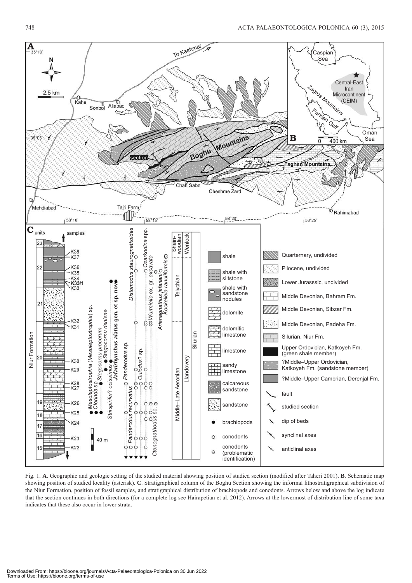

Fig. 1. **A**. Geographic and geologic setting of the studied material showing position of studied section (modified after Taheri 2001). **B**. Schematic map showing position of studied locality (asterisk). **C**. Stratigraphical column of the Boghu Section showing the informal lithostratigraphical subdivision of the Niur Formation, position of fossil samples, and stratigraphical distribution of brachiopods and conodonts. Arrows below and above the log indicate that the section continues in both directions (for a complete log see Hairapetian et al. 2012). Arrows at the lowermost of distribution line of some taxa indicates that these also occur in lower strata.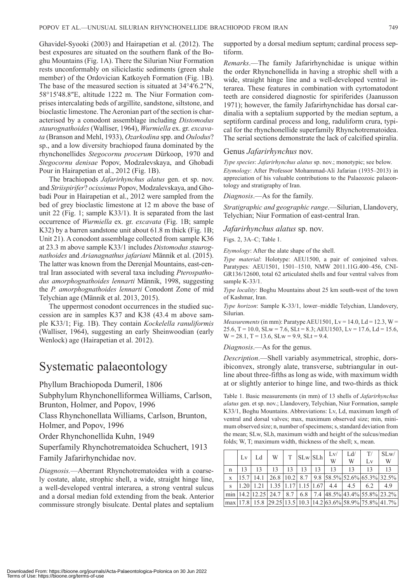Ghavidel-Syooki (2003) and Hairapetian et al. (2012). The best exposures are situated on the southern flank of the Boghu Mountains (Fig. 1A). There the Silurian Niur Formation rests unconformably on siliciclastic sediments (green shale member) of the Ordovician Katkoyeh Formation (Fig. 1B). The base of the measured section is situated at 34°4′6.2″N, 58°15′48.8″E, altitude 1222 m. The Niur Formation comprises intercalating beds of argillite, sandstone, siltstone, and bioclastic limestone. The Aeronian part of the section is characterised by a conodont assemblage including *Distomodus staurognathoides* (Walliser, 1964), *Wurmiella* ex. gr. *excavata* (Branson and Mehl, 1933), *Ozarkodina* spp. and *Oulodus*? sp., and a low diversity brachiopod fauna dominated by the rhynchonellides *Stegocornu procerum* Dürkoop, 1970 and *Stegocornu denisae* Popov, Modzalevskaya, and Ghobadi Pour in Hairapetian et al., 2012 (Fig. 1B).

The brachiopods *Jafarirhynchus alatus* gen. et sp. nov. and *Striispirifer*? *ocissimus* Popov, Modzalevskaya, and Ghobadi Pour in Hairapetian et al., 2012 were sampled from the bed of grey bioclastic limestone at 12 m above the base of unit 22 (Fig. 1; sample K33/1). It is separated from the last occurrence of *Wurmiella* ex. gr. *excavata* (Fig. 1B; sample K32) by a barren sandstone unit about 61.8 m thick (Fig. 1B; Unit 21). A conodont assemblage collected from sample K36 at 23.3 m above sample K33/1 includes *Distomodus staurognathoides* and *Arianagnathus jafariani* Männik et al. (2015). The latter was known from the Derenjal Mountains, east-central Iran associated with several taxa including *Pterospatho*dus amorphognathoides lennarti Männik, 1998, suggesting the *P. amorphognathoides lennarti* Conodont Zone of mid Telychian age (Männik et al. 2013, 2015).

The uppermost conodont occurrences in the studied succession are in samples K37 and K38 (43.4 m above sample K33/1; Fig. 1B). They contain *Kockelella ranuliformis*  (Walliser, 1964), suggesting an early Sheinwoodian (early Wenlock) age (Hairapetian et al. 2012).

## Systematic palaeontology

Phyllum Brachiopoda Dumeril, 1806

Subphylum Rhynchonelliformea Williams, Carlson, Brunton, Holmer, and Popov, 1996

Class Rhynchonellata Williams, Carlson, Brunton, Holmer, and Popov, 1996

Order Rhynchonellida Kuhn, 1949

Superfamily Rhynchotrematoidea Schuchert, 1913 Family Jafarirhynchidae nov.

*Diagnosis.*—Aberrant Rhynchotrematoidea with a coarsely costate, alate, strophic shell, a wide, straight hinge line, a well-developed ventral interarea, a strong ventral sulcus and a dorsal median fold extending from the beak. Anterior commissure strongly bisulcate. Dental plates and septalium supported by a dorsal medium septum; cardinal process septiform.

*Remarks*.—The family Jafarirhynchidae is unique within the order Rhynchonellida in having a strophic shell with a wide, straight hinge line and a well-developed ventral interarea. These features in combination with cyrtomatodont teeth are considered diagnostic for spiriferides (Jaanusson 1971); however, the family Jafarirhynchidae has dorsal cardinalia with a septalium supported by the median septum, a septiform cardinal process and long, raduliform crura, typical for the rhynchonellide superfamily Rhynchotrematoidea. The serial sections demonstrate the lack of calcified spiralia.

#### Genus *Jafarirhynchus* nov.

*Type species*: *Jafarirhynchus alatus* sp. nov.; monotypic; see below. *Etymology*: After Professor Mohammad-Ali Jafarian (1935–2013) in appreciation of his valuable contributions to the Palaeozoic palaeontology and stratigraphy of Iran.

*Diagnosis*.—As for the family.

*Stratigraphic and geographic range*.—Silurian, Llandovery, Telychian; Niur Formation of east-central Iran.

#### *Jafarirhynchus alatus* sp. nov.

Figs. 2, 3A–C; Table 1.

*Etymology*: After the alate shape of the shell.

*Type material*: Holotype: AEU1500, a pair of conjoined valves. Paratypes*:* AEU1501, 1501–1510, NMW 2011.11G.400–456, CNI-GR136/12600, total 62 articulated shells and four ventral valves from sample K-33/1.

*Type locality*: Boghu Mountains about 25 km south-west of the town of Kashmar, Iran.

*Type horizon*: Sample K-33/1, lower–middle Telychian, Llandovery, Silurian.

*Measurements* (in mm): Paratype AEU1501,  $Lv = 14.0$ ,  $Ld = 12.3$ ,  $W =$ 25.6, T = 10.0, SLw = 7.6, SLt = 8.3; AEU1503, Lv = 17.6, Ld = 15.6,  $W = 28.1$ ,  $T = 13.6$ ,  $SLw = 9.9$ ,  $SLt = 9.4$ .

*Diagnosis*.—As for the genus.

*Description*.—Shell variably asymmetrical, strophic, dorsibiconvex, strongly alate, transverse, subtriangular in outline about three-fifths as long as wide, with maximum width at or slightly anterior to hinge line, and two-thirds as thick

Table 1. Basic measurements (in mm) of 13 shells of *Jafarirhynchus alatus* gen. et sp. nov.; Llandovery, Telychian, Niur Formation, sample K33/1, Boghu Mountains. Abbreviations: Lv, Ld, maximum length of ventral and dorsal valves; max, maximum observed size; min, minimum observed size; n, number of specimens; s, standard deviation from the mean; SLw, SLh, maximum width and height of the sulcus/median folds; W, T; maximum width, thickness of the shell; x, mean.

|              |  | $\begin{array}{c c c c c c c} \text{Lv} & \text{Ld} & \text{w} & \text{T} & \text{SLw} & \text{SLh} & \text{Lv/} \\ \end{array}$ |  |  | $Lv/$ $Ld/$ $T/$<br>W | Lv                                                                  | SLw'<br>W                                                                                                                                 |
|--------------|--|----------------------------------------------------------------------------------------------------------------------------------|--|--|-----------------------|---------------------------------------------------------------------|-------------------------------------------------------------------------------------------------------------------------------------------|
| n            |  |                                                                                                                                  |  |  |                       | 13                                                                  | 13                                                                                                                                        |
| $\mathbf{X}$ |  |                                                                                                                                  |  |  |                       |                                                                     | $\vert 15.7 \vert 14.1 \vert 26.8 \vert 10.2 \vert 8.7 \vert 9.8 \vert 58.5\% \vert 52.6\% \vert 65.3\% \vert 32.5\% \vert$               |
|              |  |                                                                                                                                  |  |  |                       | s   1.20   1.21   1.35   1.17   1.15   1.67   4.4   4.5   6.2   4.9 |                                                                                                                                           |
|              |  |                                                                                                                                  |  |  |                       |                                                                     | $\min  14.2 12.25 24.7 8.7 6.8 7.4 48.5\% 43.4\% 55.8\% 23.2\% $                                                                          |
|              |  |                                                                                                                                  |  |  |                       |                                                                     | $\vert \max \vert 17.8 \vert 15.8 \vert 29.25 \vert 13.5 \vert 10.3 \vert 14.2 \vert 63.6\% \vert 58.9\% \vert 75.8\% \vert 41.7\% \vert$ |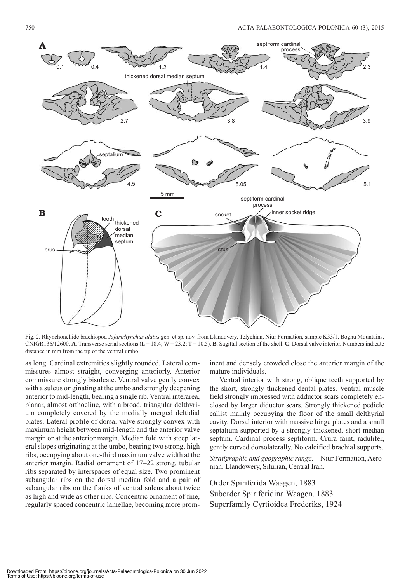

Fig. 2. Rhynchonellide brachiopod *Jafarirhynchus alatus* gen. et sp. nov. from Llandovery, Telychian, Niur Formation, sample K33/1, Boghu Mountains, CNIGR136/12600. **A**. Transverse serial sections (L = 18.4; W = 23.2; T = 10.5). **B**. Sagittal section of the shell. **C**. Dorsal valve interior. Numbers indicate distance in mm from the tip of the ventral umbo.

as long. Cardinal extremities slightly rounded. Lateral commissures almost straight, converging anteriorly. Anterior commissure strongly bisulcate. Ventral valve gently convex with a sulcus originating at the umbo and strongly deepening anterior to mid-length, bearing a single rib. Ventral interarea, planar, almost orthocline, with a broad, triangular delthyrium completely covered by the medially merged deltidial plates. Lateral profile of dorsal valve strongly convex with maximum height between mid-length and the anterior valve margin or at the anterior margin. Median fold with steep lateral slopes originating at the umbo, bearing two strong, high ribs, occupying about one-third maximum valve width at the anterior margin. Radial ornament of 17–22 strong, tubular ribs separated by interspaces of equal size. Two prominent subangular ribs on the dorsal median fold and a pair of subangular ribs on the flanks of ventral sulcus about twice as high and wide as other ribs. Concentric ornament of fine, regularly spaced concentric lamellae, becoming more prom-

inent and densely crowded close the anterior margin of the mature individuals.

Ventral interior with strong, oblique teeth supported by the short, strongly thickened dental plates. Ventral muscle field strongly impressed with adductor scars completely enclosed by larger diductor scars. Strongly thickened pedicle callist mainly occupying the floor of the small delthyrial cavity. Dorsal interior with massive hinge plates and a small septalium supported by a strongly thickened, short median septum. Cardinal process septiform. Crura faint, radulifer, gently curved dorsolaterally. No calcified brachial supports.

*Stratigraphic and geographic range*.—Niur Formation, Aeronian, Llandowery, Silurian, Central Iran.

Order Spiriferida Waagen, 1883 Suborder Spiriferidina Waagen, 1883 Superfamily Cyrtioidea Frederiks, 1924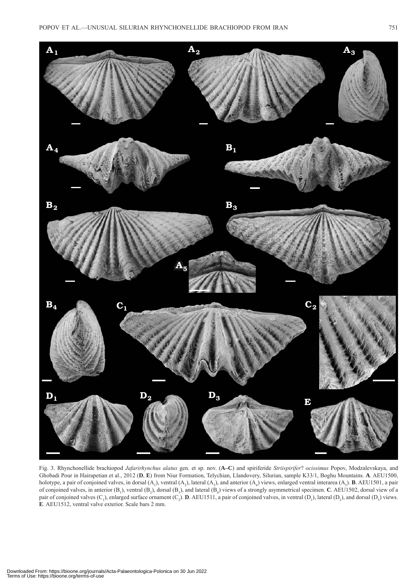

Fig. 3. Rhynchonellide brachiopod *Jafarirhynchus alatus* gen. et sp. nov. (**A–C**) and spiriferide *Striispirifer*? *ocissimus* Popov, Modzalevskaya, and Ghobadi Pour in Hairapetian et al., 2012 (**D**, **E**) from Niur Formation, Telychian, Llandovery, Silurian, sample K33/1, Boghu Mountains. **A**. AEU1500, holotype, a pair of conjoined valves, in dorsal  $(A_1)$ , ventral  $(A_2)$ , lateral  $(A_3)$ , and anterior  $(A_4)$  views, enlarged ventral interarea  $(A_5)$ . **B**. AEU1501, a pair of conjoined valves, in anterior (B<sub>1</sub>), ventral (B<sub>2</sub>), dorsal (B<sub>3</sub>), and lateral (B<sub>4</sub>) views of a strongly asymmetrical specimen. **C**. AEU1502, dorsal view of a pair of conjoined valves  $(C_1)$ , enlarged surface ornament  $(C_2)$ . **D**. AEU1511, a pair of conjoined valves, in ventral  $(D_1)$ , lateral  $(D_2)$ , and dorsal  $(D_3)$  views. **E**. AEU1512, ventral valve exterior. Scale bars 2 mm.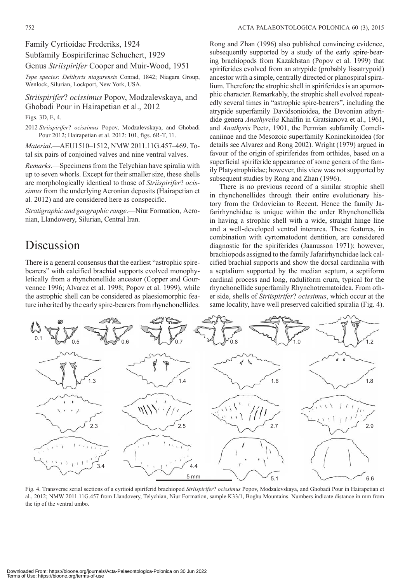#### Family Cyrtioidae Frederiks, 1924

Subfamily Eospiriferinae Schuchert, 1929

Genus *Striispirifer* Cooper and Muir-Wood, 1951

*Type species*: *Delthyris niagarensis* Conrad, 1842; Niagara Group, Wenlock, Silurian, Lockport, New York, USA.

*Striispirifer*? *ocissimus* Popov, Modzalevskaya, and Ghobadi Pour in Hairapetian et al., 2012

Figs. 3D, E, 4.

2012 *Striispirifer*? *ocissimus* Popov, Modzalevskaya, and Ghobadi Pour 2012; Hairapetian et al. 2012: 101, figs. 6R-T, 11.

*Material*.—AEU1510–1512, NMW 2011.11G.457–469. Total six pairs of conjoined valves and nine ventral valves.

*Remarks*.—Specimens from the Telychian have spiralia with up to seven whorls. Except for their smaller size, these shells are morphologically identical to those of *Striispirifer*? *ocissimus* from the underlying Aeronian deposits (Hairapetian et al*.* 2012) and are considered here as conspecific.

*Stratigraphic and geographic range*.—Niur Formation, Aeronian, Llandowery, Silurian, Central Iran.

# Discussion

There is a general consensus that the earliest "astrophic spirebearers" with calcified brachial supports evolved monophyletically from a rhynchonellide ancestor (Copper and Gourvennec 1996; Alvarez et al. 1998; Popov et al. 1999), while the astrophic shell can be considered as plaesiomorphic feature inherited by the early spire-bearers from rhynchonellides.

Rong and Zhan (1996) also published convincing evidence, subsequently supported by a study of the early spire-bearing brachiopods from Kazakhstan (Popov et al. 1999) that spiriferides evolved from an atrypide (probably lissatrypoid) ancestor with a simple, centrally directed or planospiral spiralium. Therefore the strophic shell in spiriferides is an apomorphic character. Remarkably, the strophic shell evolved repeatedly several times in "astrophic spire-bearers", including the atrypide superfamily Davidsonioidea, the Devonian athyridide genera *Anathyrella* Khalfin in Gratsianova et al., 1961, and *Anathyris* Peetz, 1901, the Permian subfamily Comelicaniinae and the Mesozoic superfamily Koninckinoidea (for details see Alvarez and Rong 2002). Wright (1979) argued in favour of the origin of spiriferides from orthides, based on a superficial spiriferide appearance of some genera of the family Platystrophiidae; however, this view was not supported by subsequent studies by Rong and Zhan (1996).

There is no previous record of a similar strophic shell in rhynchonellides through their entire evolutionary history from the Ordovician to Recent. Hence the family Jafarirhynchidae is unique within the order Rhynchonellida in having a strophic shell with a wide, straight hinge line and a well-developed ventral interarea. These features, in combination with cyrtomatodont dentition, are considered diagnostic for the spiriferides (Jaanusson 1971); however, brachiopods assigned to the family Jafarirhynchidae lack calcified brachial supports and show the dorsal cardinalia with a septalium supported by the median septum, a septiform cardinal process and long, raduliform crura, typical for the rhynchonellide superfamily Rhynchotrematoidea. From other side, shells of *Striispirifer*? *ocissimus*, which occur at the same locality, have well preserved calcified spiralia (Fig. 4).



Fig. 4. Transverse serial sections of a cyrtioid spiriferid brachiopod *Striispirifer*? *ocissimus* Popov, Modzalevskaya, and Ghobadi Pour in Hairapetian et al., 2012; NMW 2011.11G.457 from Llandovery, Telychian, Niur Formation, sample K33/1, Boghu Mountains. Numbers indicate distance in mm from the tip of the ventral umbo.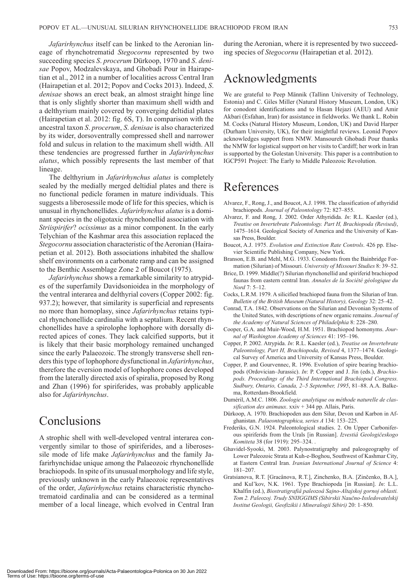*Jafarirhynchus* itself can be linked to the Aeronian lineage of rhynchotrematid *Stegocornu* represented by two succeeding species *S*. *procerum* Dürkoop, 1970 and *S*. *denisae* Popov, Modzalevskaya, and Ghobadi Pour in Hairapetian et al., 2012 in a number of localities across Central Iran (Hairapetian et al. 2012; Popov and Cocks 2013). Indeed, *S*. *denisae* shows an erect beak, an almost straight hinge line that is only slightly shorter than maximum shell width and a delthyrium mainly covered by converging deltidial plates (Hairapetian et al. 2012: fig. 6S, T). In comparison with the ancestral taxon *S*. *procerum*, *S*. *denisae* is also characterized by its wider, dorsoventrally compressed shell and narrower fold and sulcus in relation to the maximum shell width. All these tendencies are progressed further in *Jafarirhynchus alatus*, which possibly represents the last member of that lineage.

The delthyrium in *Jafarirhynchus alatus* is completely sealed by the medially merged deltidial plates and there is no functional pedicle foramen in mature individuals. This suggests a liberosessile mode of life for this species, which is unusual in rhynchonellides. *Jafarirhynchus alatus* is a dominant species in the oligotaxic rhynchonellid association with *Striispirifer*? *ocissimus* as a minor component. In the early Telychian of the Kashmar area this association replaced the *Stegocornu* association characteristic of the Aeronian (Hairapetian et al. 2012). Both associations inhabited the shallow shelf environments on a carbonate ramp and can be assigned to the Benthic Assemblage Zone 2 of Boucot (1975).

*Jafarirhynchus* shows a remarkable similarity to atrypides of the superfamily Davidsonioidea in the morphology of the ventral interarea and delthyrial covers (Copper 2002: fig. 937.2); however, that similarity is superficial and represents no more than homoplasy, since *Jafarirhynchus* retains typical rhynchonellide cardinalia with a septalium. Recent rhynchonellides have a spirolophe lophophore with dorsally directed apices of cones. They lack calcified supports, but it is likely that their basic morphology remained unchanged since the early Palaeozoic. The strongly transverse shell renders this type of lophophore dysfunctional in *Jafarirhynchus*, therefore the eversion model of lophophore cones developed from the laterally directed axis of spiralia, proposed by Rong and Zhan (1996) for spiriferides, was probably applicable also for *Jafarirhynchus*.

### **Conclusions**

A strophic shell with well-developed ventral interarea convergently similar to those of spiriferides, and a liberosessile mode of life make *Jafarirhynchus* and the family Jafarirhynchidae unique among the Palaeozoic rhynchonellide brachiopods. In spite of its unusual morphology and life style, previously unknown in the early Palaeozoic representatives of the order, *Jafarirhynchus* retains characteristic rhynchotrematoid cardinalia and can be considered as a terminal member of a local lineage, which evolved in Central Iran during the Aeronian, where it is represented by two succeeding species of *Stegocornu* (Hairapetian et al. 2012).

## Acknowledgments

We are grateful to Peep Männik (Tallinn University of Technology, Estonia) and C. Giles Miller (Natural History Museum, London, UK) for conodont identifications and to Hasan Hejazi (AEU) and Amir Akbari (Esfahan, Iran) for assistance in fieldworks. We thank L. Robin M. Cocks (Natural History Museum, London, UK) and David Harper (Durham University, UK), for their insightful reviews. Leonid Popov acknowledges support from NMW. Mansoureh Ghobadi Pour thanks the NMW for logistical support on her visits to Cardiff; her work in Iran is supported by the Golestan University. This paper is a contribution to IGCP591 Project: The Early to Middle Paleozoic Revolution.

### References

- Alvarez, F., Rong, J., and Boucot, A.J. 1998. The classification of athyridid brachiopods. *Journal of Paleontology* 72: 827–855.
- Alvarez, F. and Rong, J. 2002. Order Athyridida. *In*: R.L. Kaesler (ed.), *Treatise on Invertebrate Paleontology. Part H, Brachiopoda (Revised)*, 1475–1614. Geological Society of America and the University of Kansas Press, Boulder.
- Boucot, A.J. 1975. *Evolution and Extinction Rate Controls*. 426 pp. Elsevier Scientific Publishing Company, New York.
- Branson, E.B. and Mehl, M.G. 1933. Conodonts from the Bainbridge Formation (Silurian) of Missouri. *University of Missouri Studies* 8: 39–52.
- Brice, D. 1999. Middle(?) Silurian rhynchonellid and spiriferid brachiopod faunas from eastern central Iran. *Annales de la Société géologique du Nord* 7: 5–12.
- Cocks, L.R.M. 1979. A silicified brachiopod fauna from the Silurian of Iran. *Bulletin of the British Museum (Natural History), Geology* 32: 25–42.
- Conrad, T.A. 1842. Observations on the Silurian and Devonian Systems of the United States, with descriptions of new organic remains. *Journal of the Academy of Natural Sciences of Philadelphia* 8: 228–280.
- Cooper, G.A. and Muir-Wood, H.M. 1951. Brachiopod homonyms. *Journal of Washington Academy of Sciences* 41: 195–196.
- Copper, P. 2002. Atrypida. *In*: R.L. Kaesler (ed.), *Treatise on Invertebrate Paleontology, Part H, Brachiopoda, Revised* 4, 1377–1474. Geological Survey of America and University of Kansas Press, Boulder.
- Copper, P. and Gourvennec, R. 1996. Evolution of spire bearing brachiopods (Ordovician–Jurassic). *In*: P. Copper and J. Jin (eds.), *Brachiopods. Proceedings of the Third International Brachiopod Congress. Sudbury, Ontario, Canada, 2–5 September, 1995*, 81–88. A.A. Balkema, Rotterdam-Brookfield.
- Duméril, A.M.C. 1806. *Zoologie analytique ou méthode naturelle de classification des animaux*. xxiv + 344 pp. Allais, Paris.
- Dürkoop, A. 1970. Brachiopoden aus dem Silur, Devon und Karbon in Afghanistan. *Palaeontographica, series A* 134: 153–225.
- Frederiks, G.N. 1924. Paleontological studies. 2. On Upper Carboniferous spiriferids from the Urals [in Russian]. *Izvestiâ Geologičeskogo Komiteta* 38 (for 1919): 295–324. .
- Ghavidel-Syooki, M. 2003. Palynostratigraphy and paleogeography of Lower Paleozoic Strata at Kuh-e-Boghou, Southwest of Kashmar City, at Eastern Central Iran. *Iranian International Journal of Science* 4: 181–207.
- Gratsianova, R.T. [Gracânova, R.T.], Zinchenko, B.A. [Zinčenko, B.A.], and Kul'kov, N.K. 1961. Type Brachiopoda [in Russian]. *In*: L.L. Khalfin (ed.), *Biostratigrafiâ paleozoâ Sajno-Altajskoj gornoj oblasti. Tom 2. Paleozoj. Trudy SNIIGGIMS (Sibirskii Naučno-Issledovatelskij Institut Geologii, Geofizikii i Mineralogii Sibiri)* 20: 1–850.